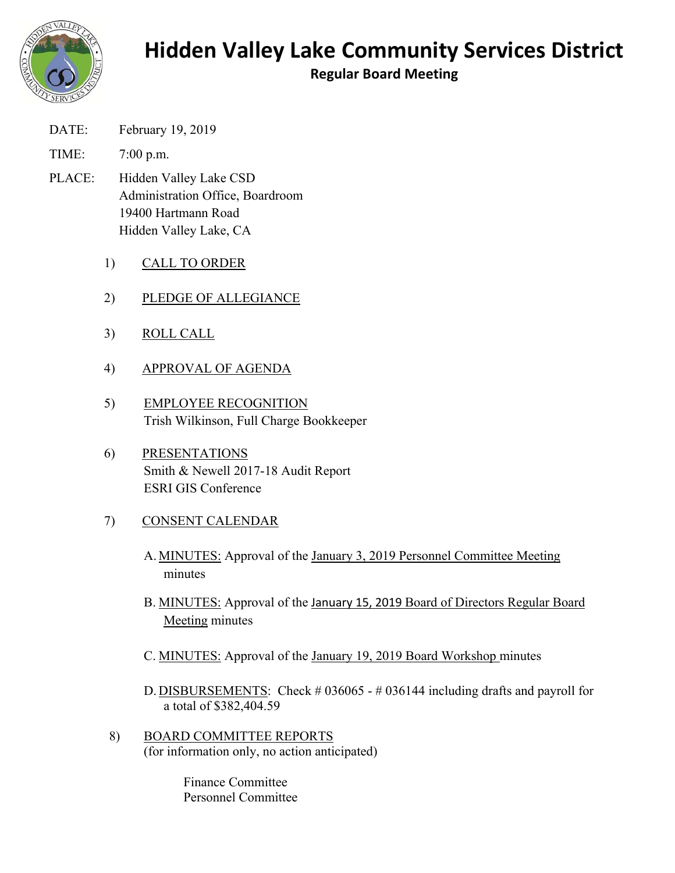

## **Hidden Valley Lake Community Services District**

**Regular Board Meeting** 

- DATE: February 19, 2019
- TIME: 7:00 p.m.
- PLACE: Hidden Valley Lake CSD Administration Office, Boardroom 19400 Hartmann Road Hidden Valley Lake, CA
	- 1) CALL TO ORDER
	- 2) PLEDGE OF ALLEGIANCE
	- 3) ROLL CALL
	- 4) APPROVAL OF AGENDA
	- 5) EMPLOYEE RECOGNITION Trish Wilkinson, Full Charge Bookkeeper
	- 6) PRESENTATIONS Smith & Newell 2017-18 Audit Report ESRI GIS Conference
	- 7) CONSENT CALENDAR
		- A. MINUTES: Approval of the January 3, 2019 Personnel Committee Meeting minutes
		- B. MINUTES: Approval of the January 15, 2019 Board of Directors Regular Board Meeting minutes
		- C. MINUTES: Approval of the January 19, 2019 Board Workshop minutes
		- D. DISBURSEMENTS: Check # 036065 # 036144 including drafts and payroll for a total of \$382,404.59
	- 8) BOARD COMMITTEE REPORTS (for information only, no action anticipated)

Finance Committee Personnel Committee